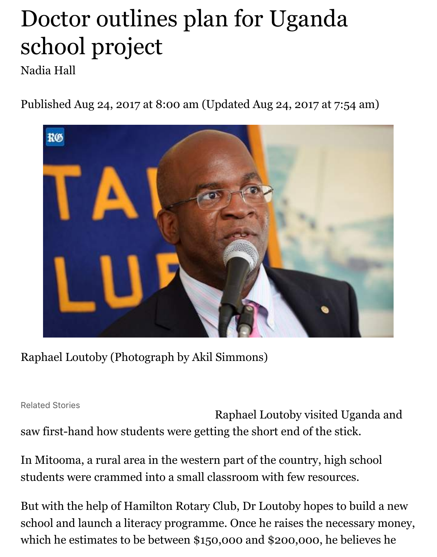## Doctor outlines plan for Uganda school project

Nadia Hall

Published Aug 24, 2017 at 8:00 am (Updated Aug 24, 2017 at 7:54 am)



Raphael Loutoby (Photograph by Akil Simmons)

Related Stories

Raphael Loutoby visited Uganda and saw first-hand how students were getting the short end of the stick.

In Mitooma, a rural area in the western part of the country, high school students were crammed into a small classroom with few resources.

But with the help of Hamilton Rotary Club, Dr Loutoby hopes to build a new school and launch a literacy programme. Once he raises the necessary money, which he estimates to be between \$150,000 and \$200,000, he believes he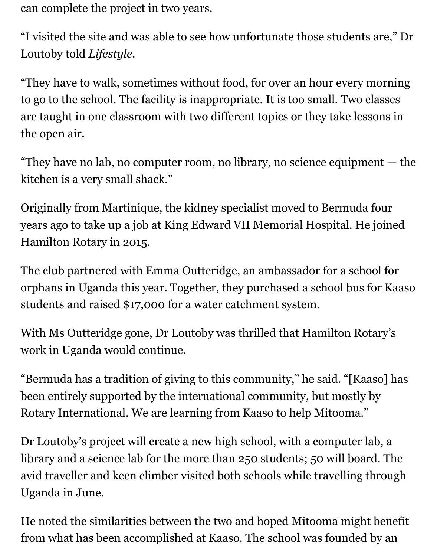can complete the project in two years.

"I visited the site and was able to see how unfortunate those students are," Dr Loutoby told *Lifestyle*.

"They have to walk, sometimes without food, for over an hour every morning to go to the school. The facility is inappropriate. It is too small. Two classes are taught in one classroom with two different topics or they take lessons in the open air.

"They have no lab, no computer room, no library, no science equipment — the kitchen is a very small shack."

Originally from Martinique, the kidney specialist moved to Bermuda four years ago to take up a job at King Edward VII Memorial Hospital. He joined Hamilton Rotary in 2015.

The club partnered with Emma Outteridge, an ambassador for a school for orphans in Uganda this year. Together, they purchased a school bus for Kaaso students and raised \$17,000 for a water catchment system.

With Ms Outteridge gone, Dr Loutoby was thrilled that Hamilton Rotary's work in Uganda would continue.

"Bermuda has a tradition of giving to this community," he said. "[Kaaso] has been entirely supported by the international community, but mostly by Rotary International. We are learning from Kaaso to help Mitooma."

Dr Loutoby's project will create a new high school, with a computer lab, a library and a science lab for the more than 250 students; 50 will board. The avid traveller and keen climber visited both schools while travelling through Uganda in June.

He noted the similarities between the two and hoped Mitooma might benefit from what has been accomplished at Kaaso. The school was founded by an